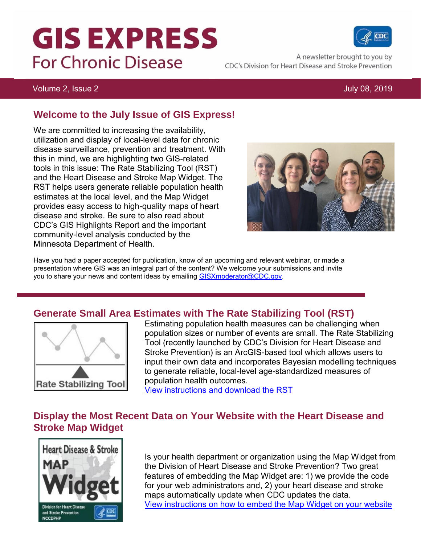# **GIS EXPRESS For Chronic Disease**

A newsletter brought to you by CDC's Division for Heart Disease and Stroke Prevention

#### Volume 2, Issue 2 July 08, 2019

#### **Welcome to the July Issue of GIS Express!**

We are committed to increasing the availability, utilization and display of local-level data for chronic disease surveillance, prevention and treatment. With this in mind, we are highlighting two GIS-related tools in this issue: The Rate Stabilizing Tool (RST) and the Heart Disease and Stroke Map Widget. The RST helps users generate reliable population health estimates at the local level, and the Map Widget provides easy access to high-quality maps of heart disease and stroke. Be sure to also read about CDC's GIS Highlights Report and the important community-level analysis conducted by the Minnesota Department of Health.



Have you had a paper accepted for publication, know of an upcoming and relevant webinar, or made a presentation where GIS was an integral part of the content? We welcome your submissions and invite you to share your news and content ideas by emailing [GISXmoderator@CDC.gov.](mailto:GISXmoderator@CDC.gov)

#### **Generate Small Area Estimates with The Rate Stabilizing Tool (RST)**



Estimating population health measures can be challenging when population sizes or number of events are small. The Rate Stabilizing Tool (recently launched by CDC's Division for Heart Disease and Stroke Prevention) is an ArcGIS-based tool which allows users to input their own data and incorporates Bayesian modelling techniques to generate reliable, local-level age-standardized measures of population health outcomes.

[View instructions and download the RST](https://www.cdc.gov/dhdsp/maps/gisx/rst.html)

#### **Display the Most Recent Data on Your Website with the Heart Disease and Stroke Map Widget**



Is your health department or organization using the Map Widget from the Division of Heart Disease and Stroke Prevention? Two great features of embedding the Map Widget are: 1) we provide the code for your web administrators and, 2) your heart disease and stroke maps automatically update when CDC updates the data. [View instructions on how to embed the Map Widget on your website](https://www.cdc.gov/dhdsp/maps/hds-widget.htm)